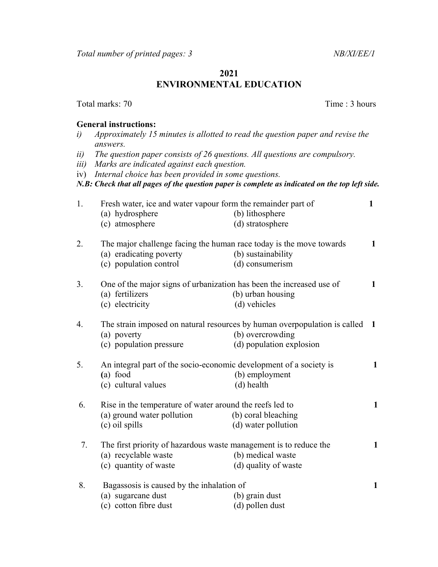## 2021 ENVIRONMENTAL EDUCATION

## General instructions:

- i) Approximately 15 minutes is allotted to read the question paper and revise the answers.
- ii) The question paper consists of 26 questions. All questions are compulsory.
- iii) Marks are indicated against each question.
- iv) Internal choice has been provided in some questions.

N.B: Check that all pages of the question paper is complete as indicated on the top left side.

| 1. | Fresh water, ice and water vapour form the remainder part of<br>(a) hydrosphere<br>(c) atmosphere                                     | (b) lithosphere<br>(d) stratosphere                                                                                       | 1            |
|----|---------------------------------------------------------------------------------------------------------------------------------------|---------------------------------------------------------------------------------------------------------------------------|--------------|
| 2. | The major challenge facing the human race today is the move towards<br>(a) eradicating poverty<br>(c) population control              | (b) sustainability<br>(d) consumerism                                                                                     | $\mathbf 1$  |
| 3. | One of the major signs of urbanization has been the increased use of<br>(a) fertilizers<br>(c) electricity                            | (b) urban housing<br>(d) vehicles                                                                                         | 1            |
| 4. | (a) poverty<br>(c) population pressure                                                                                                | The strain imposed on natural resources by human overpopulation is called<br>(b) overcrowding<br>(d) population explosion | -1           |
| 5. | An integral part of the socio-economic development of a society is<br>(a) food<br>(b) employment<br>(c) cultural values<br>(d) health |                                                                                                                           | $\mathbf{1}$ |
| 6. | Rise in the temperature of water around the reefs led to<br>(a) ground water pollution<br>(c) oil spills                              | (b) coral bleaching<br>(d) water pollution                                                                                | $\mathbf{1}$ |
| 7. | The first priority of hazardous waste management is to reduce the<br>(a) recyclable waste<br>(c) quantity of waste                    | (b) medical waste<br>(d) quality of waste                                                                                 | $\mathbf{1}$ |
| 8. | Bagassosis is caused by the inhalation of<br>(a) sugarcane dust<br>(c) cotton fibre dust                                              | (b) grain dust<br>(d) pollen dust                                                                                         | $\mathbf{1}$ |

Total marks: 70 Time : 3 hours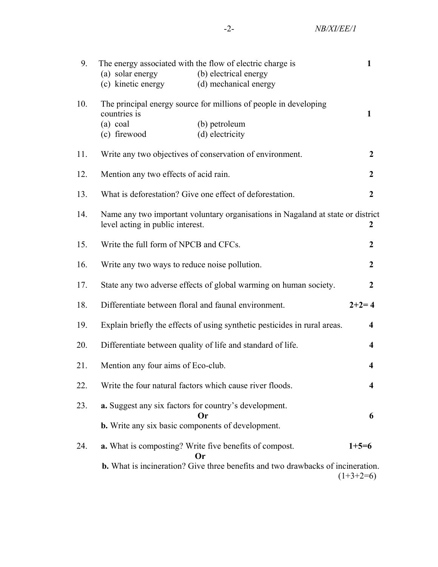| 9.  | The energy associated with the flow of electric charge is                                                                |                                                                                        |             |  |
|-----|--------------------------------------------------------------------------------------------------------------------------|----------------------------------------------------------------------------------------|-------------|--|
|     | (a) solar energy                                                                                                         | (b) electrical energy                                                                  |             |  |
|     | (c) kinetic energy                                                                                                       | (d) mechanical energy                                                                  |             |  |
| 10. | The principal energy source for millions of people in developing<br>countries is                                         |                                                                                        |             |  |
|     | $(a)$ coal                                                                                                               | (b) petroleum                                                                          |             |  |
|     | (c) firewood                                                                                                             | (d) electricity                                                                        |             |  |
| 11. | Write any two objectives of conservation of environment.<br>$\overline{2}$                                               |                                                                                        |             |  |
| 12. | Mention any two effects of acid rain.<br>$\overline{2}$                                                                  |                                                                                        |             |  |
| 13. | What is deforestation? Give one effect of deforestation.                                                                 |                                                                                        |             |  |
| 14. | Name any two important voluntary organisations in Nagaland at state or district<br>level acting in public interest.<br>2 |                                                                                        |             |  |
| 15. | Write the full form of NPCB and CFCs.                                                                                    |                                                                                        |             |  |
| 16. | Write any two ways to reduce noise pollution.                                                                            |                                                                                        |             |  |
| 17. | State any two adverse effects of global warming on human society.                                                        |                                                                                        |             |  |
| 18. | Differentiate between floral and faunal environment.<br>$2+2=4$                                                          |                                                                                        |             |  |
| 19. | Explain briefly the effects of using synthetic pesticides in rural areas.<br>$\overline{\mathbf{4}}$                     |                                                                                        |             |  |
| 20. | Differentiate between quality of life and standard of life.                                                              |                                                                                        |             |  |
| 21. | Mention any four aims of Eco-club.                                                                                       |                                                                                        |             |  |
| 22. |                                                                                                                          | Write the four natural factors which cause river floods.                               |             |  |
| 23. | <b>a.</b> Suggest any six factors for country's development.<br><b>Or</b>                                                |                                                                                        |             |  |
|     | 6<br><b>b.</b> Write any six basic components of development.                                                            |                                                                                        |             |  |
| 24. |                                                                                                                          | a. What is composting? Write five benefits of compost.<br>Or                           | $1+5=6$     |  |
|     |                                                                                                                          | <b>b.</b> What is incineration? Give three benefits and two drawbacks of incineration. | $(1+3+2=6)$ |  |